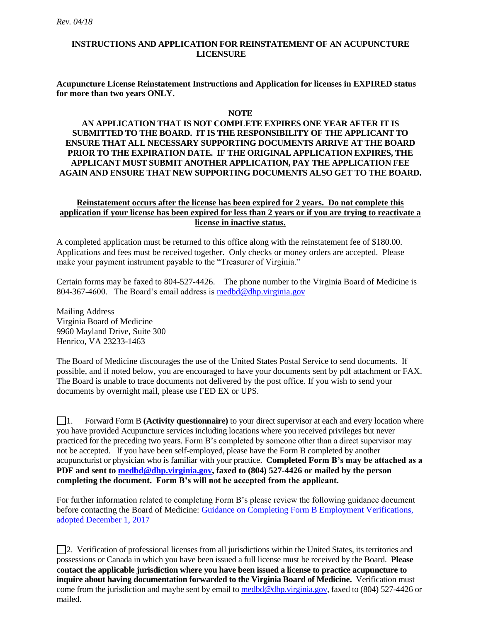*Rev. 04/18*

## **INSTRUCTIONS AND APPLICATION FOR REINSTATEMENT OF AN ACUPUNCTURE LICENSURE**

**Acupuncture License Reinstatement Instructions and Application for licenses in EXPIRED status for more than two years ONLY.** 

#### **NOTE**

# **AN APPLICATION THAT IS NOT COMPLETE EXPIRES ONE YEAR AFTER IT IS SUBMITTED TO THE BOARD. IT IS THE RESPONSIBILITY OF THE APPLICANT TO ENSURE THAT ALL NECESSARY SUPPORTING DOCUMENTS ARRIVE AT THE BOARD PRIOR TO THE EXPIRATION DATE. IF THE ORIGINAL APPLICATION EXPIRES, THE APPLICANT MUST SUBMIT ANOTHER APPLICATION, PAY THE APPLICATION FEE AGAIN AND ENSURE THAT NEW SUPPORTING DOCUMENTS ALSO GET TO THE BOARD.**

## **Reinstatement occurs after the license has been expired for 2 years. Do not complete this application if your license has been expired for less than 2 years or if you are trying to reactivate a license in inactive status.**

A completed application must be returned to this office along with the reinstatement fee of \$180.00. Applications and fees must be received together. Only checks or money orders are accepted. Please make your payment instrument payable to the "Treasurer of Virginia."

Certain forms may be faxed to 804-527-4426. The phone number to the Virginia Board of Medicine is 804-367-4600. The Board's email address is medbd@dhp.virginia.gov

Mailing Address Virginia Board of Medicine 9960 Mayland Drive, Suite 300 Henrico, VA 23233-1463

The Board of Medicine discourages the use of the United States Postal Service to send documents. If possible, and if noted below, you are encouraged to have your documents sent by pdf attachment or FAX. The Board is unable to trace documents not delivered by the post office. If you wish to send your documents by overnight mail, please use FED EX or UPS.

1. Forward Form B **(Activity questionnaire)** to your direct supervisor at each and every location where you have provided Acupuncture services including locations where you received privileges but never practiced for the preceding two years. Form B's completed by someone other than a direct supervisor may not be accepted. If you have been self-employed, please have the Form B completed by another acupuncturist or physician who is familiar with your practice. **Completed Form B's may be attached as a PDF and sent to [medbd@dhp.virginia.gov,](mailto:medbd@dhp.virginia.gov) faxed to (804) 527-4426 or mailed by the person completing the document. Form B's will not be accepted from the applicant.** 

For further information related to completing Form B's please review the following guidance document before contacting the Board of Medicine: [Guidance on Completing Form B Employment Verifications,](https://www.dhp.virginia.gov/medicine/guidelines/85-3.docx)  [adopted December 1, 2017](https://www.dhp.virginia.gov/medicine/guidelines/85-3.docx)

2. Verification of professional licenses from all jurisdictions within the United States, its territories and possessions or Canada in which you have been issued a full license must be received by the Board. **Please contact the applicable jurisdiction where you have been issued a license to practice acupuncture to inquire about having documentation forwarded to the Virginia Board of Medicine.** Verification must come from the jurisdiction and maybe sent by email to [medbd@dhp.virginia.gov,](mailto:medbd@dhp.virginia.gov) faxed to (804) 527-4426 or mailed.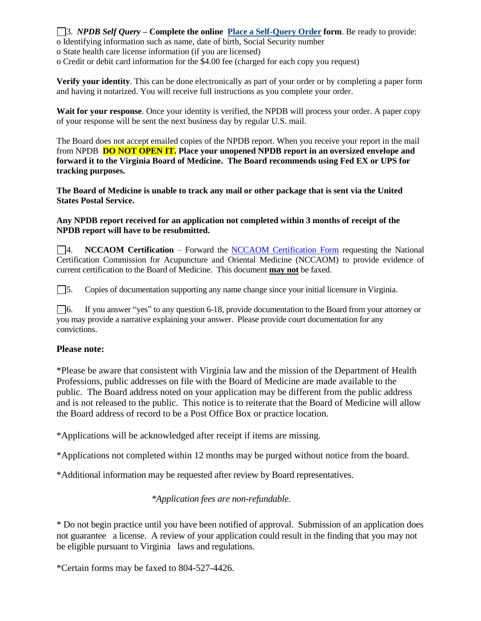3. *NPDB Self Query –* **Complete the online [Place a Self-Query](https://www.npdb.hrsa.gov/ext/selfquery/SQHome.jsp) Order form**. Be ready to provide:

o Identifying information such as name, date of birth, Social Security number

o State health care license information (if you are licensed)

o Credit or debit card information for the \$4.00 fee (charged for each copy you request)

**Verify your identity**. This can be done electronically as part of your order or by completing a paper form and having it notarized. You will receive full instructions as you complete your order.

**Wait for your response**. Once your identity is verified, the NPDB will process your order. A paper copy of your response will be sent the next business day by regular U.S. mail.

The Board does not accept emailed copies of the NPDB report. When you receive your report in the mail from NPDB **DO NOT OPEN IT. Place your unopened NPDB report in an oversized envelope and forward it to the Virginia Board of Medicine. The Board recommends using Fed EX or UPS for tracking purposes.** 

**The Board of Medicine is unable to track any mail or other package that is sent via the United States Postal Service.**

# **Any NPDB report received for an application not completed within 3 months of receipt of the NPDB report will have to be resubmitted.**

4. **NCCAOM Certification** – Forward the [NCCAOM Certification Form](https://www.dhp.virginia.gov/Forms/medicine/LAC/NCCAOM_cert_form.doc) requesting the National Certification Commission for Acupuncture and Oriental Medicine (NCCAOM) to provide evidence of current certification to the Board of Medicine. This document **may not** be faxed.

5. Copies of documentation supporting any name change since your initial licensure in Virginia.

6. If you answer "yes" to any question 6-18, provide documentation to the Board from your attorney or you may provide a narrative explaining your answer. Please provide court documentation for any convictions.

# **Please note:**

\*Please be aware that consistent with Virginia law and the mission of the Department of Health Professions, public addresses on file with the Board of Medicine are made available to the public. The Board address noted on your application may be different from the public address and is not released to the public. This notice is to reiterate that the Board of Medicine will allow the Board address of record to be a Post Office Box or practice location.

\*Applications will be acknowledged after receipt if items are missing.

\*Applications not completed within 12 months may be purged without notice from the board.

\*Additional information may be requested after review by Board representatives.

# *\*Application fees are non-refundable.*

\* Do not begin practice until you have been notified of approval. Submission of an application does not guarantee a license. A review of your application could result in the finding that you may not be eligible pursuant to Virginia laws and regulations.

\*Certain forms may be faxed to 804-527-4426.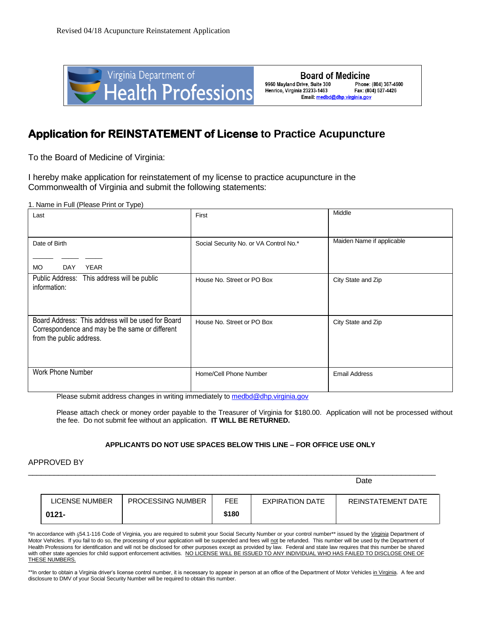



# **Application for REINSTATEMENT of License to Practice Acupuncture**

To the Board of Medicine of Virginia:

I hereby make application for reinstatement of my license to practice acupuncture in the Commonwealth of Virginia and submit the following statements:

1. Name in Full (Please Print or Type)

| Last                                                                                                                              | First                                  | Middle                    |
|-----------------------------------------------------------------------------------------------------------------------------------|----------------------------------------|---------------------------|
| Date of Birth                                                                                                                     | Social Security No. or VA Control No.* | Maiden Name if applicable |
| <b>MO</b><br><b>DAY</b><br>YEAR                                                                                                   |                                        |                           |
| Public Address: This address will be public<br>information:                                                                       | House No. Street or PO Box             | City State and Zip        |
| Board Address: This address will be used for Board<br>Correspondence and may be the same or different<br>from the public address. | House No. Street or PO Box             | City State and Zip        |
| Work Phone Number                                                                                                                 | Home/Cell Phone Number                 | <b>Email Address</b>      |

Please submit address changes in writing immediately to [medbd@dhp.virginia.gov](mailto:medbd@dhp.virginia.gov)

Please attach check or money order payable to the Treasurer of Virginia for \$180.00. Application will not be processed without the fee. Do not submit fee without an application. **IT WILL BE RETURNED.**

#### **APPLICANTS DO NOT USE SPACES BELOW THIS LINE – FOR OFFICE USE ONLY**

#### APPROVED BY

|                |                          |       |                        | Date                      |
|----------------|--------------------------|-------|------------------------|---------------------------|
| LICENSE NUMBER | <b>PROCESSING NUMBER</b> | FEE.  | <b>EXPIRATION DATE</b> | <b>REINSTATEMENT DATE</b> |
| $0121 -$       |                          | \$180 |                        |                           |

\*In accordance with §54.1-116 Code of Virginia, you are required to submit your Social Security Number or your control number\*\* issued by the *Virginia* Department of Motor Vehicles. If you fail to do so, the processing of your application will be suspended and fees will not be refunded. This number will be used by the Department of Health Professions for identification and will not be disclosed for other purposes except as provided by law. Federal and state law requires that this number be shared with other state agencies for child support enforcement activities. NO LICENSE WILL BE ISSUED TO ANY INDIVIDUAL WHO HAS FAILED TO DISCLOSE ONE OF **THESE NUMBERS.** 

\*\*In order to obtain a Virginia driver's license control number, it is necessary to appear in person at an office of the Department of Motor Vehicles i<u>n Virginia</u>. A fee and disclosure to DMV of your Social Security Number will be required to obtain this number.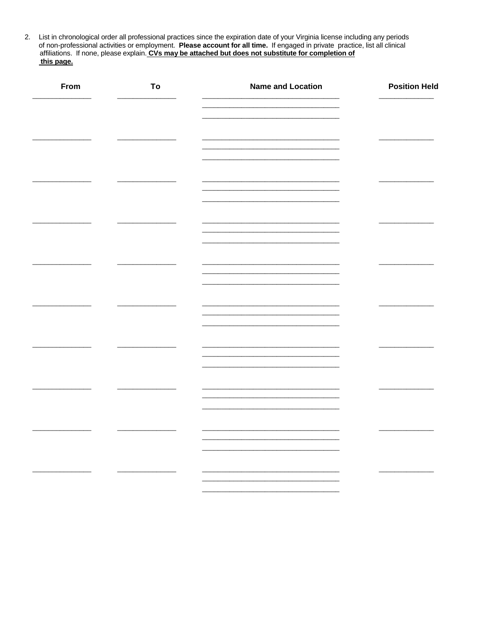2. List in chronological order all professional practices since the expiration date of your Virginia license including any periods of non-professional activities or employment. Please account for all time. If engaged in pr this page.

| From | To | <b>Name and Location</b> | <b>Position Held</b> |
|------|----|--------------------------|----------------------|
|      |    |                          |                      |
|      |    |                          |                      |
|      |    |                          |                      |
|      |    |                          |                      |
|      |    |                          |                      |
|      |    |                          |                      |
|      |    |                          |                      |
|      |    |                          |                      |
|      |    |                          |                      |
|      |    |                          |                      |
|      |    |                          |                      |
|      |    |                          |                      |
|      |    |                          |                      |
|      |    |                          |                      |
|      |    |                          |                      |
|      |    |                          |                      |
|      |    |                          |                      |
|      |    |                          |                      |
|      |    |                          |                      |
|      |    |                          |                      |
|      |    |                          |                      |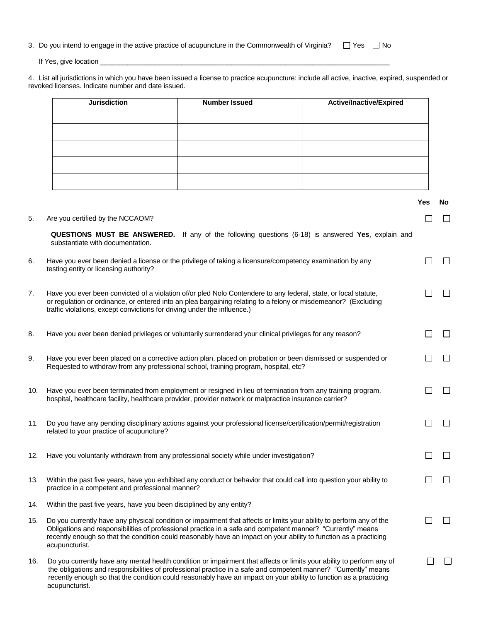|  |  |  |  |  |  | 3. Do you intend to engage in the active practice of acupuncture in the Commonwealth of Virginia? $\square$ Yes $\square$ No |  |  |  |  |  |
|--|--|--|--|--|--|------------------------------------------------------------------------------------------------------------------------------|--|--|--|--|--|
|--|--|--|--|--|--|------------------------------------------------------------------------------------------------------------------------------|--|--|--|--|--|

If Yes, give location **expression** and the set of the set of the set of the set of the set of the set of the set o

4. List all jurisdictions in which you have been issued a license to practice acupuncture: include all active, inactive, expired, suspended or revoked licenses. Indicate number and date issued.

|     | <b>Jurisdiction</b>                                                                                                                                                                                                                                                                                                                                                             | <b>Number Issued</b>                                                                              | <b>Active/Inactive/Expired</b> |     |     |
|-----|---------------------------------------------------------------------------------------------------------------------------------------------------------------------------------------------------------------------------------------------------------------------------------------------------------------------------------------------------------------------------------|---------------------------------------------------------------------------------------------------|--------------------------------|-----|-----|
|     |                                                                                                                                                                                                                                                                                                                                                                                 |                                                                                                   |                                |     |     |
|     |                                                                                                                                                                                                                                                                                                                                                                                 |                                                                                                   |                                |     |     |
|     |                                                                                                                                                                                                                                                                                                                                                                                 |                                                                                                   |                                |     |     |
|     |                                                                                                                                                                                                                                                                                                                                                                                 |                                                                                                   |                                |     |     |
|     |                                                                                                                                                                                                                                                                                                                                                                                 |                                                                                                   |                                |     |     |
|     |                                                                                                                                                                                                                                                                                                                                                                                 |                                                                                                   |                                |     |     |
|     |                                                                                                                                                                                                                                                                                                                                                                                 |                                                                                                   |                                | Yes | No. |
| 5.  | Are you certified by the NCCAOM?                                                                                                                                                                                                                                                                                                                                                |                                                                                                   |                                |     |     |
|     | substantiate with documentation.                                                                                                                                                                                                                                                                                                                                                | QUESTIONS MUST BE ANSWERED. If any of the following questions (6-18) is answered Yes, explain and |                                |     |     |
| 6.  | Have you ever been denied a license or the privilege of taking a licensure/competency examination by any<br>testing entity or licensing authority?                                                                                                                                                                                                                              |                                                                                                   |                                |     |     |
| 7.  | Have you ever been convicted of a violation of/or pled Nolo Contendere to any federal, state, or local statute,<br>or regulation or ordinance, or entered into an plea bargaining relating to a felony or misdemeanor? (Excluding<br>traffic violations, except convictions for driving under the influence.)                                                                   |                                                                                                   |                                |     |     |
| 8.  | Have you ever been denied privileges or voluntarily surrendered your clinical privileges for any reason?                                                                                                                                                                                                                                                                        |                                                                                                   |                                |     |     |
| 9.  | Have you ever been placed on a corrective action plan, placed on probation or been dismissed or suspended or<br>Requested to withdraw from any professional school, training program, hospital, etc?                                                                                                                                                                            |                                                                                                   |                                |     |     |
| 10. | Have you ever been terminated from employment or resigned in lieu of termination from any training program,<br>hospital, healthcare facility, healthcare provider, provider network or malpractice insurance carrier?                                                                                                                                                           |                                                                                                   |                                |     |     |
| 11. | Do you have any pending disciplinary actions against your professional license/certification/permit/registration<br>related to your practice of acupuncture?                                                                                                                                                                                                                    |                                                                                                   |                                |     |     |
| 12. | Have you voluntarily withdrawn from any professional society while under investigation?                                                                                                                                                                                                                                                                                         |                                                                                                   |                                |     |     |
| 13. | Within the past five years, have you exhibited any conduct or behavior that could call into question your ability to<br>practice in a competent and professional manner?                                                                                                                                                                                                        |                                                                                                   |                                |     |     |
| 14. | Within the past five years, have you been disciplined by any entity?                                                                                                                                                                                                                                                                                                            |                                                                                                   |                                |     |     |
| 15. | Do you currently have any physical condition or impairment that affects or limits your ability to perform any of the<br>Obligations and responsibilities of professional practice in a safe and competent manner? "Currently" means<br>recently enough so that the condition could reasonably have an impact on your ability to function as a practicing<br>acupuncturist.      |                                                                                                   |                                |     |     |
| 16. | Do you currently have any mental health condition or impairment that affects or limits your ability to perform any of<br>the obligations and responsibilities of professional practice in a safe and competent manner? "Currently" means<br>recently enough so that the condition could reasonably have an impact on your ability to function as a practicing<br>acupuncturist. |                                                                                                   |                                |     |     |